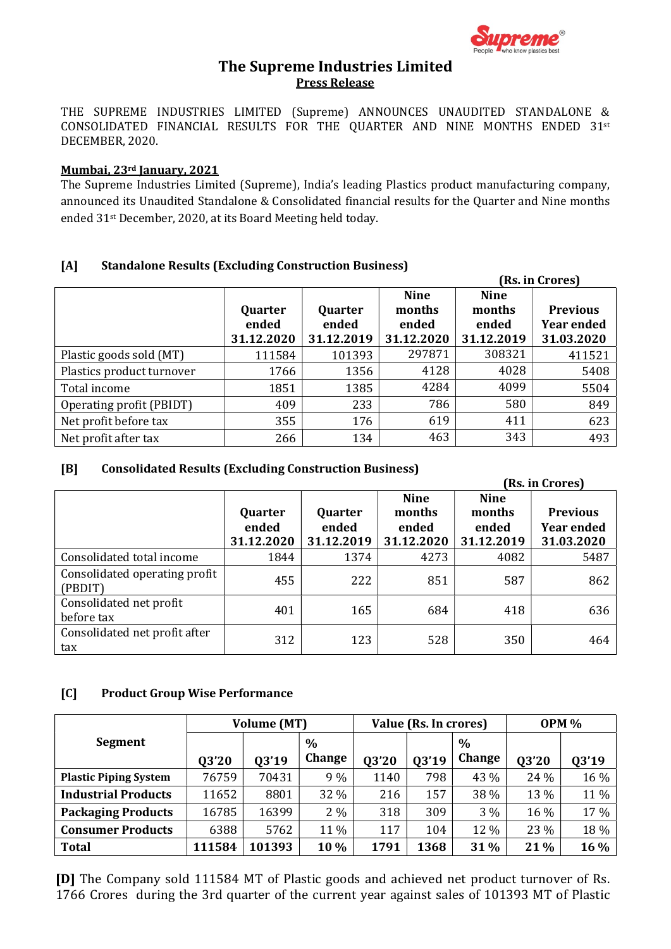

# The Supreme Industries Limited Press Release

THE SUPREME INDUSTRIES LIMITED (Supreme) ANNOUNCES UNAUDITED STANDALONE & CONSOLIDATED FINANCIAL RESULTS FOR THE QUARTER AND NINE MONTHS ENDED 31st DECEMBER, 2020.

#### Mumbai, 23rd January, 2021

The Supreme Industries Limited (Supreme), India's leading Plastics product manufacturing company, announced its Unaudited Standalone & Consolidated financial results for the Quarter and Nine months ended 31st December, 2020, at its Board Meeting held today.

#### [A] Standalone Results (Excluding Construction Business)

|                           |                                |                                |                                              | (Rs. in Crores)                              |                                                    |  |  |
|---------------------------|--------------------------------|--------------------------------|----------------------------------------------|----------------------------------------------|----------------------------------------------------|--|--|
|                           | Quarter<br>ended<br>31.12.2020 | Quarter<br>ended<br>31.12.2019 | <b>Nine</b><br>months<br>ended<br>31.12.2020 | <b>Nine</b><br>months<br>ended<br>31.12.2019 | <b>Previous</b><br><b>Year ended</b><br>31.03.2020 |  |  |
| Plastic goods sold (MT)   | 111584                         | 101393                         | 297871                                       | 308321                                       | 411521                                             |  |  |
| Plastics product turnover | 1766                           | 1356                           | 4128                                         | 4028                                         | 5408                                               |  |  |
| Total income              | 1851                           | 1385                           | 4284                                         | 4099                                         | 5504                                               |  |  |
| Operating profit (PBIDT)  | 409                            | 233                            | 786                                          | 580                                          | 849                                                |  |  |
| Net profit before tax     | 355                            | 176                            | 619                                          | 411                                          | 623                                                |  |  |
| Net profit after tax      | 266                            | 134                            | 463                                          | 343                                          | 493                                                |  |  |

### [B] Consolidated Results (Excluding Construction Business)

|                                          |                                |                                | (Rs. in Crores)                              |                                              |                                                    |  |
|------------------------------------------|--------------------------------|--------------------------------|----------------------------------------------|----------------------------------------------|----------------------------------------------------|--|
|                                          | Quarter<br>ended<br>31.12.2020 | Quarter<br>ended<br>31.12.2019 | <b>Nine</b><br>months<br>ended<br>31.12.2020 | <b>Nine</b><br>months<br>ended<br>31.12.2019 | <b>Previous</b><br><b>Year ended</b><br>31.03.2020 |  |
| Consolidated total income                | 1844                           | 1374                           | 4273                                         | 4082                                         | 5487                                               |  |
| Consolidated operating profit<br>(PBDIT) | 455                            | 222                            | 851                                          | 587                                          | 862                                                |  |
| Consolidated net profit<br>before tax    | 401                            | 165                            | 684                                          | 418                                          | 636                                                |  |
| Consolidated net profit after<br>tax     | 312                            | 123                            | 528                                          | 350                                          | 464                                                |  |

#### [C] Product Group Wise Performance

|                              | <b>Volume (MT)</b> |        |               | Value (Rs. In crores) |       |               | <b>OPM %</b> |       |
|------------------------------|--------------------|--------|---------------|-----------------------|-------|---------------|--------------|-------|
| <b>Segment</b>               |                    |        | $\%$          |                       |       | $\%$          |              |       |
|                              | <b>Q3'20</b>       | 03'19  | <b>Change</b> | 03'20                 | 03'19 | <b>Change</b> | 03'20        | 03'19 |
| <b>Plastic Piping System</b> | 76759              | 70431  | 9%            | 1140                  | 798   | 43 %          | 24 %         | 16 %  |
| <b>Industrial Products</b>   | 11652              | 8801   | 32 %          | 216                   | 157   | 38 %          | 13 %         | 11 %  |
| <b>Packaging Products</b>    | 16785              | 16399  | $2\%$         | 318                   | 309   | 3 %           | 16 %         | 17 %  |
| <b>Consumer Products</b>     | 6388               | 5762   | 11 %          | 117                   | 104   | 12 %          | 23 %         | 18 %  |
| <b>Total</b>                 | 111584             | 101393 | 10%           | 1791                  | 1368  | 31%           | 21%          | 16 %  |

[D] The Company sold 111584 MT of Plastic goods and achieved net product turnover of Rs. 1766 Crores during the 3rd quarter of the current year against sales of 101393 MT of Plastic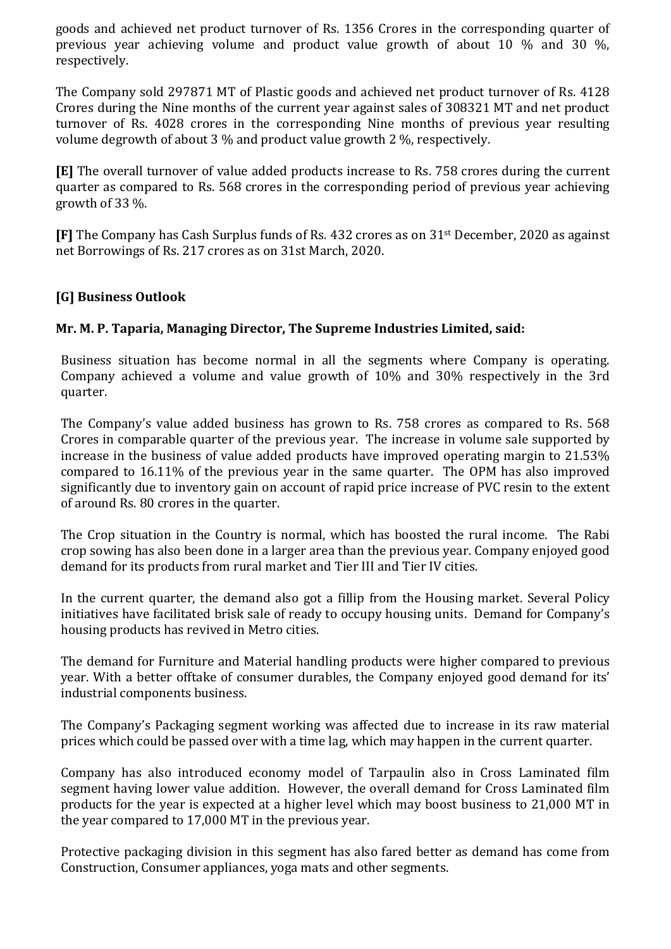goods and achieved net product turnover of Rs. 1356 Crores in the corresponding quarter of previous year achieving volume and product value growth of about 10 % and 30 %, respectively.

The Company sold 297871 MT of Plastic goods and achieved net product turnover of Rs. 4128 Crores during the Nine months of the current year against sales of 308321 MT and net product turnover of Rs. 4028 crores in the corresponding Nine months of previous year resulting volume degrowth of about 3 % and product value growth 2 %, respectively.

[E] The overall turnover of value added products increase to Rs. 758 crores during the current quarter as compared to Rs. 568 crores in the corresponding period of previous year achieving growth of 33 %.

[F] The Company has Cash Surplus funds of Rs. 432 crores as on 31st December, 2020 as against net Borrowings of Rs. 217 crores as on 31st March, 2020.

# [G] Business Outlook

## Mr. M. P. Taparia, Managing Director, The Supreme Industries Limited, said:

Business situation has become normal in all the segments where Company is operating. Company achieved a volume and value growth of 10% and 30% respectively in the 3rd quarter.

The Company's value added business has grown to Rs. 758 crores as compared to Rs. 568 Crores in comparable quarter of the previous year. The increase in volume sale supported by increase in the business of value added products have improved operating margin to 21.53% compared to 16.11% of the previous year in the same quarter. The OPM has also improved significantly due to inventory gain on account of rapid price increase of PVC resin to the extent of around Rs. 80 crores in the quarter.

The Crop situation in the Country is normal, which has boosted the rural income. The Rabi crop sowing has also been done in a larger area than the previous year. Company enjoyed good demand for its products from rural market and Tier III and Tier IV cities.

In the current quarter, the demand also got a fillip from the Housing market. Several Policy initiatives have facilitated brisk sale of ready to occupy housing units. Demand for Company's housing products has revived in Metro cities.

The demand for Furniture and Material handling products were higher compared to previous year. With a better offtake of consumer durables, the Company enjoyed good demand for its' industrial components business.

The Company's Packaging segment working was affected due to increase in its raw material prices which could be passed over with a time lag, which may happen in the current quarter.

Company has also introduced economy model of Tarpaulin also in Cross Laminated film segment having lower value addition. However, the overall demand for Cross Laminated film products for the year is expected at a higher level which may boost business to 21,000 MT in the year compared to 17,000 MT in the previous year.

Protective packaging division in this segment has also fared better as demand has come from Construction, Consumer appliances, yoga mats and other segments.